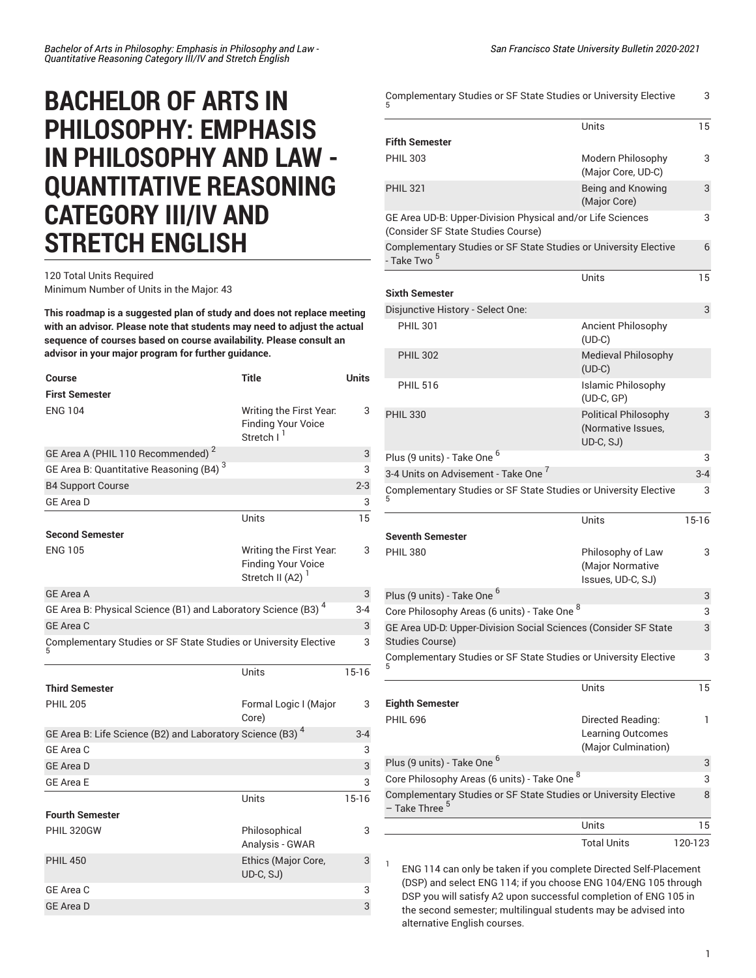## **BACHELOR OF ARTS IN PHILOSOPHY: EMPHASIS IN PHILOSOPHY AND LAW - QUANTITATIVE REASONING CATEGORY III/IV AND STRETCH ENGLISH**

## 120 Total Units Required Minimum Number of Units in the Major: 43

**This roadmap is a suggested plan of study and does not replace meeting with an advisor. Please note that students may need to adjust the actual sequence of courses based on course availability. Please consult an advisor in your major program for further guidance.**

| <b>Course</b><br><b>First Semester</b>                                    | <b>Title</b>                                                                         | Units   |
|---------------------------------------------------------------------------|--------------------------------------------------------------------------------------|---------|
| <b>ENG 104</b>                                                            | Writing the First Year.<br><b>Finding Your Voice</b><br>Stretch I <sup>1</sup>       | 3       |
| GE Area A (PHIL 110 Recommended) <sup>2</sup>                             |                                                                                      | 3       |
| GE Area B: Quantitative Reasoning (B4) <sup>3</sup>                       |                                                                                      | 3       |
| <b>B4 Support Course</b>                                                  |                                                                                      | $2 - 3$ |
| <b>GE Area D</b>                                                          |                                                                                      | 3       |
|                                                                           | Units                                                                                | 15      |
| <b>Second Semester</b>                                                    |                                                                                      |         |
| <b>ENG 105</b>                                                            | Writing the First Year.<br><b>Finding Your Voice</b><br>Stretch II (A2) <sup>1</sup> | 3       |
| <b>GE Area A</b>                                                          |                                                                                      | 3       |
| GE Area B: Physical Science (B1) and Laboratory Science (B3) <sup>4</sup> |                                                                                      | $3 - 4$ |
| GE Area C                                                                 |                                                                                      | 3       |
| Complementary Studies or SF State Studies or University Elective          |                                                                                      | 3       |
|                                                                           | Units                                                                                | $15-16$ |
| <b>Third Semester</b>                                                     |                                                                                      |         |
| <b>PHIL 205</b>                                                           | Formal Logic I (Major<br>Core)                                                       | 3       |
| GE Area B: Life Science (B2) and Laboratory Science (B3) <sup>4</sup>     |                                                                                      | $3 - 4$ |
| <b>GE Area C</b>                                                          |                                                                                      | 3       |
| <b>GE Area D</b>                                                          |                                                                                      | 3       |
| <b>GE Area E</b>                                                          |                                                                                      | 3       |
|                                                                           | Units                                                                                | $15-16$ |
| <b>Fourth Semester</b>                                                    |                                                                                      |         |
| PHIL 320GW                                                                | Philosophical<br>Analysis - GWAR                                                     | 3       |
| <b>PHIL 450</b>                                                           | Ethics (Major Core,<br>UD-C, SJ)                                                     | 3       |
| GE Area C                                                                 |                                                                                      | 3       |
| <b>GE Area D</b>                                                          |                                                                                      | 3       |
|                                                                           |                                                                                      |         |

| Complementary Studies or SF State Studies or University Elective                                 |                                                                | 3       |
|--------------------------------------------------------------------------------------------------|----------------------------------------------------------------|---------|
|                                                                                                  | Units                                                          | 15      |
| <b>Fifth Semester</b>                                                                            |                                                                |         |
| <b>PHIL 303</b>                                                                                  | Modern Philosophy<br>(Major Core, UD-C)                        | 3       |
| <b>PHIL 321</b>                                                                                  | Being and Knowing<br>(Major Core)                              | 3       |
| GE Area UD-B: Upper-Division Physical and/or Life Sciences<br>(Consider SF State Studies Course) |                                                                | 3       |
| Complementary Studies or SF State Studies or University Elective<br>- Take Two <sup>5</sup>      |                                                                | 6       |
|                                                                                                  | Units                                                          | 15      |
| <b>Sixth Semester</b>                                                                            |                                                                |         |
| Disjunctive History - Select One:                                                                |                                                                | 3       |
| <b>PHIL 301</b>                                                                                  | Ancient Philosophy<br>$(UD-C)$                                 |         |
| <b>PHIL 302</b>                                                                                  | <b>Medieval Philosophy</b><br>$(UD-C)$                         |         |
| <b>PHIL 516</b>                                                                                  | Islamic Philosophy<br>$(UD-C, GP)$                             |         |
| <b>PHIL 330</b>                                                                                  | <b>Political Philosophy</b><br>(Normative Issues,<br>UD-C, SJ) | 3       |
| Plus (9 units) - Take One <sup>6</sup>                                                           |                                                                | 3       |
| 3-4 Units on Advisement - Take One <sup>7</sup>                                                  |                                                                | $3 - 4$ |
| Complementary Studies or SF State Studies or University Elective                                 |                                                                | 3       |
| <b>Seventh Semester</b>                                                                          | Units                                                          | $15-16$ |
| <b>PHIL 380</b>                                                                                  | Philosophy of Law<br>(Major Normative<br>Issues, UD-C, SJ)     | 3       |
| Plus (9 units) - Take One <sup>6</sup>                                                           |                                                                | 3       |
| Core Philosophy Areas (6 units) - Take One 8                                                     |                                                                | 3       |
| GE Area UD-D: Upper-Division Social Sciences (Consider SF State<br><b>Studies Course)</b>        |                                                                | 3       |
| Complementary Studies or SF State Studies or University Elective                                 |                                                                | 3       |
|                                                                                                  | Units                                                          | 15      |
| <b>Eighth Semester</b>                                                                           |                                                                |         |
| <b>PHIL 696</b>                                                                                  | Directed Reading:<br>Learning Outcomes<br>(Major Culmination)  | 1       |
| Plus (9 units) - Take One <sup>6</sup>                                                           |                                                                | 3       |
| Core Philosophy Areas (6 units) - Take One 8                                                     |                                                                | 3       |
| Complementary Studies or SF State Studies or University Elective<br>- Take Three <sup>5</sup>    |                                                                | 8       |
|                                                                                                  | Units                                                          | 15      |
|                                                                                                  | <b>Total Units</b>                                             | 120-123 |

1 ENG 114 can only be taken if you complete Directed Self-Placement (DSP) and select ENG 114; if you choose ENG 104/ENG 105 through DSP you will satisfy A2 upon successful completion of ENG 105 in the second semester; multilingual students may be advised into alternative English courses.